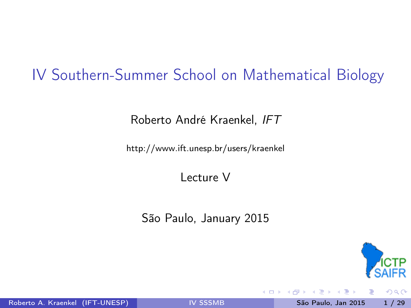## IV Southern-Summer School on Mathematical Biology

Roberto André Kraenkel, IFT

<http://www.ift.unesp.br/users/kraenkel>

Lecture V

São Paulo, January 2015



<span id="page-0-0"></span> $QQQ$ 

Roberto A. Kraenkel (IFT-UNESP) and San [IV SSSMB](#page-34-0) São Paulo, Jan 2015 1 / 29

4 D F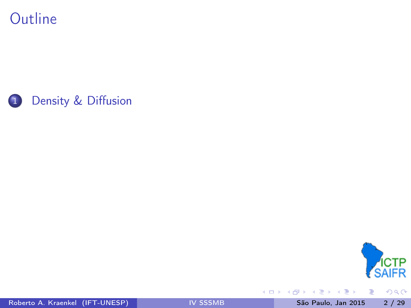**Outline** 





重

 $2990$ 

Roberto A. Kraenkel (IFT-UNESP) **[IV SSSMB](#page-0-0)** São Paulo, Jan 2015 2 / 29

 $\mathbb{R}^n \times \mathbb{R} \xrightarrow{\sim} \mathbb{R}^n$ 

Þ ×.

**∢ ロ ▶ イ 伊**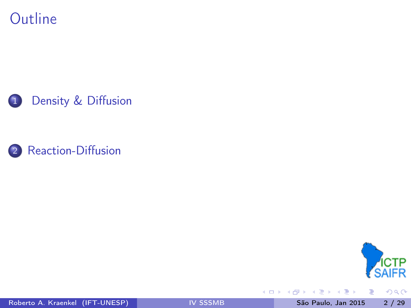







重

 $2990$ 

Roberto A. Kraenkel (IFT-UNESP) **[IV SSSMB](#page-0-0)** São Paulo, Jan 2015 2 / 29

 $\mathbb{B}$  is a  $\mathbb{B}$  is

**◆ ロ ▶ → イ 印**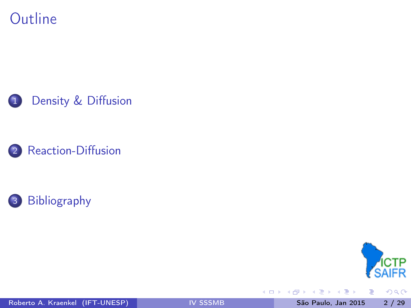









 $299$ 

重

Roberto A. Kraenkel (IFT-UNESP) **[IV SSSMB](#page-0-0)** São Paulo, Jan 2015 2 / 29

 $\mathbb{B}$  is a  $\mathbb{B}$  is

4 0 8 4 向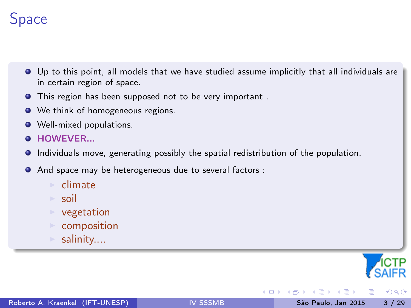# Space

- Up to this point, all models that we have studied assume implicitly that all individuals are in certain region of space.
- **•** This region has been supposed not to be very important.
- We think of homogeneous regions.
- **Well-mixed populations.**
- **O** HOWEVER...
- Individuals move, generating possibly the spatial redistribution of the population.
- And space may be heterogeneous due to several factors :
	- <sup>I</sup> climate
	- $\triangleright$  soil
	- $\triangleright$  vegetation
	- $\triangleright$  composition
	- $\triangleright$  salinity....



<span id="page-4-0"></span> $200$ 

4 **D** F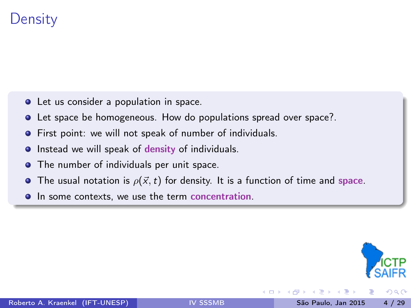## **Density**

- **•** Let us consider a population in space.
- **.** Let space be homogeneous. How do populations spread over space?.
- **•** First point: we will not speak of number of individuals.
- **Instead we will speak of density of individuals.**
- The number of individuals per unit space.
- The usual notation is  $\rho(\vec{x},t)$  for density. It is a function of time and space.
- **In some contexts, we use the term concentration.**



 $200$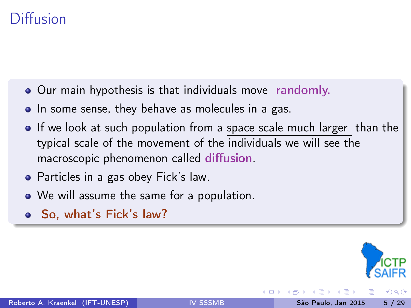## Diffusion

- Our main hypothesis is that individuals move randomly.
- In some sense, they behave as molecules in a gas.
- If we look at such population from a space scale much larger than the typical scale of the movement of the individuals we will see the macroscopic phenomenon called diffusion.
- Particles in a gas obey Fick's law.
- We will assume the same for a population.
- So, what's Fick's law?

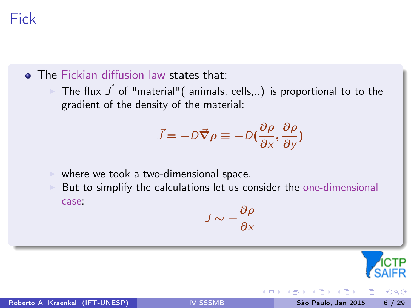# Fick

**• The Fickian diffusion law states that:** 

The flux  $\vec{J}$  of "material"( animals, cells,..) is proportional to to the gradient of the density of the material:

$$
\vec{J} = -D\vec{\nabla}\rho \equiv -D(\frac{\partial \rho}{\partial x}, \frac{\partial \rho}{\partial y})
$$

 $\blacktriangleright$  where we took a two-dimensional space.

But to simplify the calculations let us consider the one-dimensional case:

$$
J \sim -\frac{\partial \rho}{\partial x}
$$

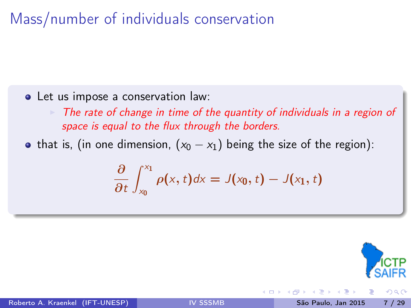# Mass/number of individuals conservation

- Let us impose a conservation law:
	- The rate of change in time of the quantity of individuals in a region of space is equal to the flux through the borders.
- that is, (in one dimension,  $(x_0 x_1)$  being the size of the region):

$$
\frac{\partial}{\partial t}\int_{x_0}^{x_1}\rho(x,t)dx=J(x_0,t)-J(x_1,t)
$$

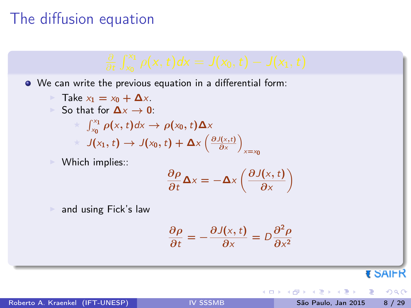## The diffusion equation



₹ SAIFR

 $200$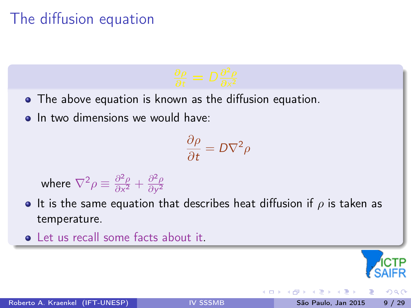# The diffusion equation



- The above equation is known as the diffusion equation.
- **a** In two dimensions we would have:

$$
\frac{\partial \rho}{\partial t} = D \nabla^2 \rho
$$

where  $\nabla^2 \rho \equiv \frac{\partial^2 \rho}{\partial x^2}$  $\frac{\partial^2 \rho}{\partial x^2} + \frac{\partial^2 \rho}{\partial y^2}$  $\overline{\partial y^2}$ 

- It is the same equation that describes heat diffusion if  $\rho$  is taken as temperature.
- **Q** Let us recall some facts about it.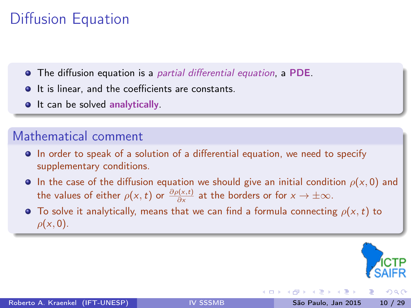# Diffusion Equation

- The diffusion equation is a partial differential equation, a PDE.
- $\bullet$  It is linear, and the coefficients are constants.
- **It can be solved analytically.**

#### Mathematical comment

- In order to speak of a solution of a differential equation, we need to specify supplementary conditions.
- **In the case of the diffusion equation we should give an initial condition**  $\rho(x, 0)$  and the values of either  $\rho(x,t)$  or  $\frac{\partial \rho(x,t)}{\partial x}$  at the borders or for  $x\to\pm\infty.$
- **To solve it analytically, means that we can find a formula connecting**  $\rho(x, t)$  to  $\rho(x,0)$ .



 $200$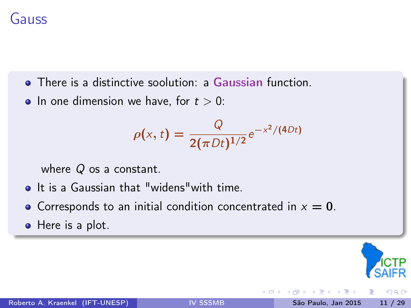### Gauss

- **•** There is a distinctive soolution: a Gaussian function.
- In one dimension we have, for  $t > 0$ :

$$
\rho(x,t) = \frac{Q}{2(\pi Dt)^{1/2}} e^{-x^2/(4Dt)}
$$

where  $Q$  os a constant.

- **•** It is a Gaussian that "widens" with time.
- Corresponds to an initial condition concentrated in  $x = 0$ .
- Here is a plot.

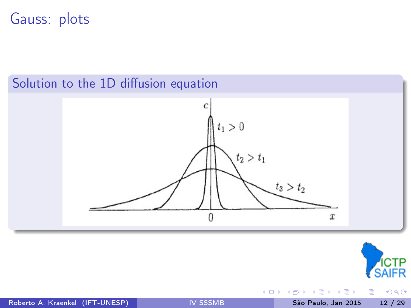#### Gauss: plots

#### Solution to the 1D diffusion equation





活

 $299$ 

Roberto A. Kraenkel (IFT-UNESP) **[IV SSSMB](#page-0-0)** São Paulo, Jan 2015 12 / 29

K 등 > 'K 등 >

4 0 8 4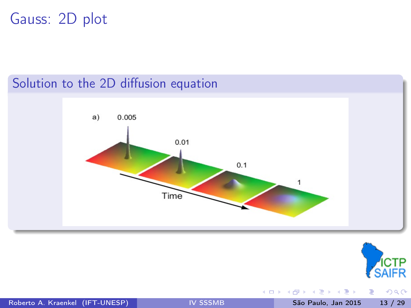# Gauss: 2D plot

#### Solution to the 2D diffusion equation





活

 $299$ 

Roberto A. Kraenkel (IFT-UNESP) **[IV SSSMB](#page-0-0)** São Paulo, Jan 2015 13 / 29

④重き ④重き

4 0 8 4

向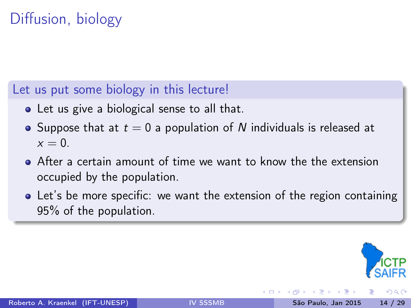# Diffusion, biology

#### Let us put some biology in this lecture!

- Let us give a biological sense to all that.
- Suppose that at  $t = 0$  a population of N individuals is released at  $x = 0$
- After a certain amount of time we want to know the the extension occupied by the population.
- Let's be more specific: we want the extension of the region containing 95% of the population.

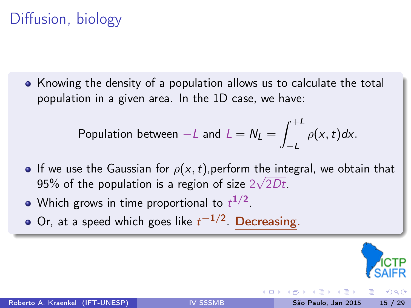# Diffusion, biology

Knowing the density of a population allows us to calculate the total population in a given area. In the 1D case, we have:

Population between 
$$
-L
$$
 and  $L = N_L = \int_{-L}^{+L} \rho(x, t) dx$ .

- If we use the Gaussian for  $\rho(x,t)$ , perform the integral, we obtain that 95% of the population is a region of size  $2\sqrt{2Dt}$ .
- Which grows in time proportional to  $t^{1/2}.$
- Or, at a speed which goes like  $t^{-1/2}$ . Decreasing.

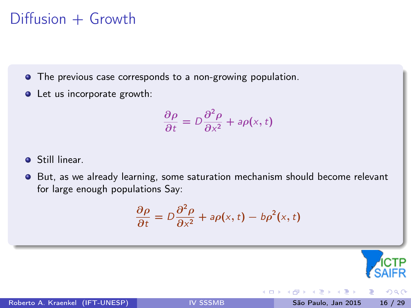## $Diffusion + Growth$

The previous case corresponds to a non-growing population.

• Let us incorporate growth:

$$
\frac{\partial \rho}{\partial t} = D \frac{\partial^2 \rho}{\partial x^2} + a \rho(x, t)
$$

**o** Still linear.

But, as we already learning, some saturation mechanism should become relevant  $\bullet$ for large enough populations Say:

$$
\frac{\partial \rho}{\partial t} = D \frac{\partial^2 \rho}{\partial x^2} + a \rho(x, t) - b \rho^2(x, t)
$$

4 **D** F



<span id="page-17-0"></span> $QQ$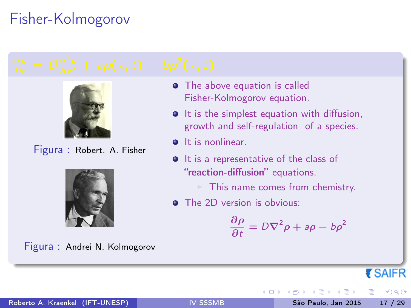# Fisher-Kolmogorov



Figura : Robert. A. Fisher



Figura : Andrei N. Kolmogorov

- **•** The above equation is called Fisher-Kolmogorov equation.
- **It is the simplest equation with diffusion,** growth and self-regulation of a species.
- **o** It is nonlinear.
- **It is a representative of the class of** "reaction-diffusion" equations.
	- This name comes from chemistry.

4 **ED** 3 4

**•** The 2D version is obvious:

$$
\frac{\partial \rho}{\partial t} = D\nabla^2 \rho + a\rho - b\rho^2
$$

**ESAIFR** 

 $QQ$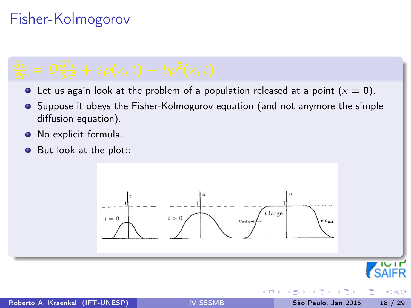# Fisher-Kolmogorov

- $\bullet$  Let us again look at the problem of a population released at a point  $(x = 0)$ .
- **•** Suppose it obeys the Fisher-Kolmogorov equation (and not anymore the simple diffusion equation).
- No explicit formula.  $\bullet$
- $\bullet$ But look at the plot::

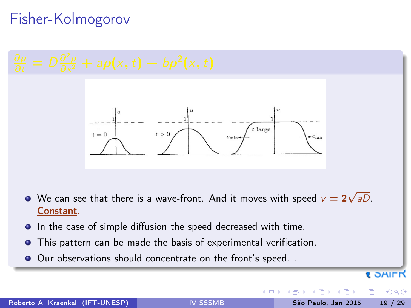# Fisher-Kolmogorov



- **In the case of simple diffusion the speed decreased with time.**
- This pattern can be made the basis of experimental verification.
- Our observations should concentrate on the front's speed...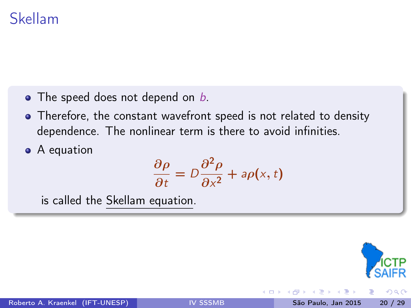#### Skellam

- $\bullet$  The speed does not depend on  $b$ .
- Therefore, the constant wavefront speed is not related to density dependence. The nonlinear term is there to avoid infinities.
- A equation

$$
\frac{\partial \rho}{\partial t} = D \frac{\partial^2 \rho}{\partial x^2} + a \rho(x, t)
$$

is called the Skellam equation.



 $\Omega$ 

4 **D** F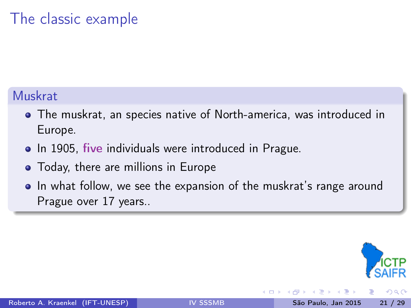# The classic example

#### Muskrat

- The muskrat, an species native of North-america, was introduced in Europe.
- In 1905, five individuals were introduced in Prague.
- Today, there are millions in Europe
- In what follow, we see the expansion of the muskrat's range around Prague over 17 years..

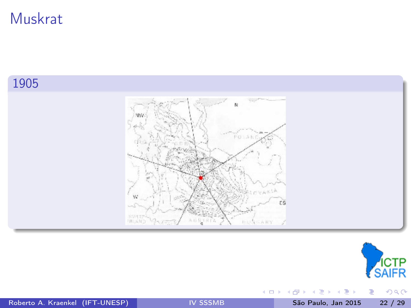#### 1905





重

 $299$ 

Roberto A. Kraenkel (IFT-UNESP) | [IV SSSMB](#page-0-0) São Paulo, Jan 2015 22 / 29

キロメ メ都 メメ きょうくぼう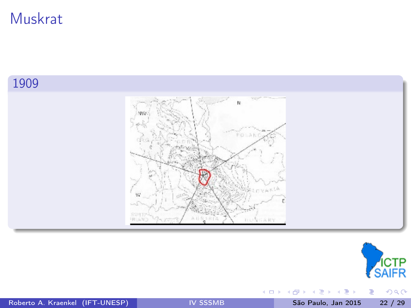#### 1909





重

 $299$ 

Roberto A. Kraenkel (IFT-UNESP) | [IV SSSMB](#page-0-0) São Paulo, Jan 2015 22 / 29

キロメ メ都 メメ きょうくぼう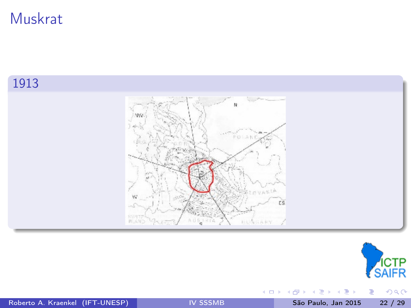#### 1913





重

 $299$ 

Roberto A. Kraenkel (IFT-UNESP) | [IV SSSMB](#page-0-0) São Paulo, Jan 2015 22 / 29

K ロ→ K 個→ K 差→ K 差→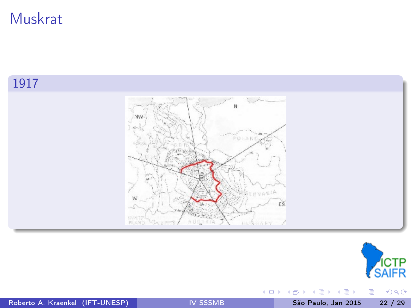#### 1917





重

 $299$ 

Roberto A. Kraenkel (IFT-UNESP) | [IV SSSMB](#page-0-0) São Paulo, Jan 2015 22 / 29

キロメ メ都 メメ きょうくぼう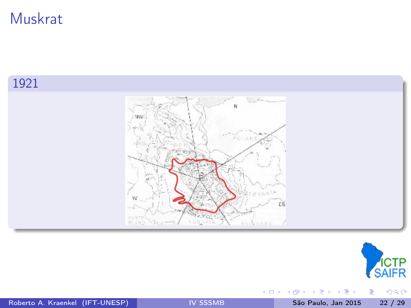#### 1921





重

 $2990$ 

Roberto A. Kraenkel (IFT-UNESP) [IV SSSMB](#page-0-0) São Paulo, Jan 2015 22 / 29

キロメ メ都 メメ きょうくぼう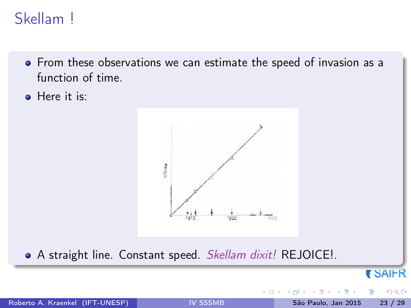## Skellam !

- **•** From these observations we can estimate the speed of invasion as a function of time.
- **A** Here it is:



• A straight line. Constant speed. Skellam dixit! REJOICE!.

₹ SAIFR

 $\Omega$ 

4 **D** F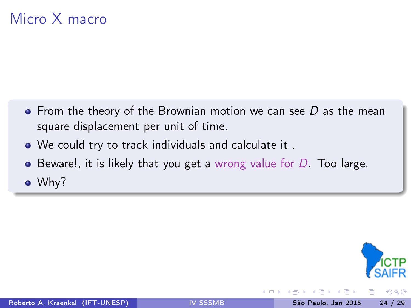# Micro X macro

- $\bullet$  From the theory of the Brownian motion we can see D as the mean square displacement per unit of time.
- We could try to track individuals and calculate it .
- $\bullet$  Beware!, it is likely that you get a wrong value for D. Too large.

Why?

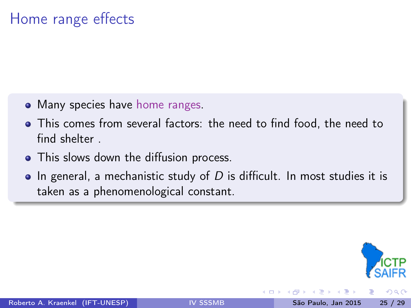## Home range effects

- Many species have home ranges.
- This comes from several factors: the need to find food, the need to find shelter .
- This slows down the diffusion process.
- $\bullet$  In general, a mechanistic study of D is difficult. In most studies it is taken as a phenomenological constant.

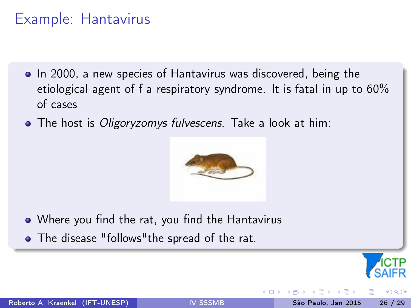## Example: Hantavirus

- In 2000, a new species of Hantavirus was discovered, being the etiological agent of f a respiratory syndrome. It is fatal in up to 60% of cases
- The host is *Oligoryzomys fulvescens*. Take a look at him:



- Where you find the rat, you find the Hantavirus
- The disease "follows" the spread of the rat.

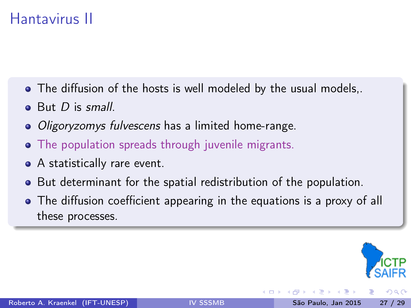## Hantavirus II

- The diffusion of the hosts is well modeled by the usual models,.
- $\bullet$  But D is small.
- Oligoryzomys fulvescens has a limited home-range.
- The population spreads through juvenile migrants.
- A statistically rare event.
- But determinant for the spatial redistribution of the population.
- The diffusion coefficient appearing in the equations is a proxy of all these processes.

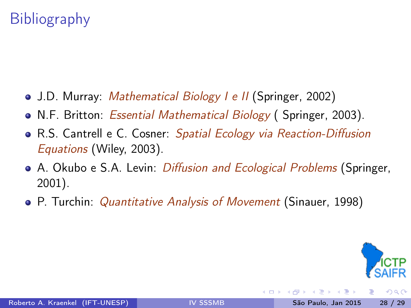# Bibliography

- J.D. Murray: *Mathematical Biology I e II* (Springer, 2002)
- N.F. Britton: *Essential Mathematical Biology* (Springer, 2003).
- R.S. Cantrell e C. Cosner: Spatial Ecology via Reaction-Diffusion Equations (Wiley, 2003).
- A. Okubo e S.A. Levin: *Diffusion and Ecological Problems* (Springer, 2001).
- P. Turchin: *Quantitative Analysis of Movement* (Sinauer, 1998)



<span id="page-33-0"></span> $200$